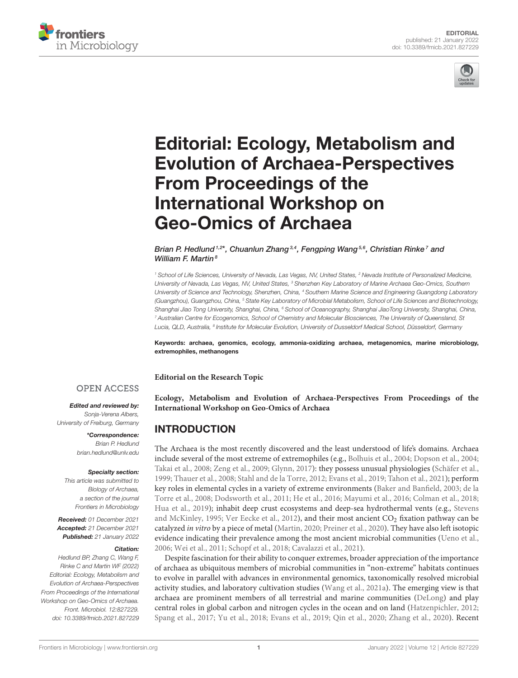



# Editorial: Ecology, Metabolism and [Evolution of Archaea-Perspectives](https://www.frontiersin.org/articles/10.3389/fmicb.2021.827229/full) From Proceedings of the International Workshop on Geo-Omics of Archaea

#### Brian P. Hedlund <sup>1,2\*</sup>, Chuanlun Zhang 3,4, Fengping Wang 5,6, Christian Rinke <sup>7</sup> and William F. Martin $8$

<sup>1</sup> School of Life Sciences, University of Nevada, Las Vegas, NV, United States, <sup>2</sup> Nevada Institute of Personalized Medicine, University of Nevada, Las Vegas, NV, United States, <sup>3</sup> Shenzhen Key Laboratory of Marine Archaea Geo-Omics, Southern University of Science and Technology, Shenzhen, China, <sup>4</sup> Southern Marine Science and Engineering Guangdong Laboratory (Guangzhou), Guangzhou, China, <sup>5</sup> State Key Laboratory of Microbial Metabolism, School of Life Sciences and Biotechnology, Shanghai Jiao Tong University, Shanghai, China, <sup>6</sup> School of Oceanography, Shanghai JiaoTong University, Shanghai, China, <sup>7</sup> Australian Centre for Ecogenomics, School of Chemistry and Molecular Biosciences, The University of Queensland, St Lucia, QLD, Australia, <sup>8</sup> Institute for Molecular Evolution, University of Dusseldorf Medical School, Düsseldorf, Germany

Keywords: archaea, genomics, ecology, ammonia-oxidizing archaea, metagenomics, marine microbiology, extremophiles, methanogens

**Editorial on the Research Topic**

#### **OPEN ACCESS**

#### Edited and reviewed by:

Sonja-Verena Albers, University of Freiburg, Germany

> \*Correspondence: Brian P. Hedlund [brian.hedlund@unlv.edu](mailto:brian.hedlund@unlv.edu)

#### Specialty section:

This article was submitted to Biology of Archaea, a section of the journal Frontiers in Microbiology

Received: 01 December 2021 Accepted: 21 December 2021 Published: 21 January 2022

#### Citation:

Hedlund BP, Zhang C, Wang F, Rinke C and Martin WF (2022) Editorial: Ecology, Metabolism and Evolution of Archaea-Perspectives From Proceedings of the International Workshop on Geo-Omics of Archaea. Front. Microbiol. 12:827229. doi: [10.3389/fmicb.2021.827229](https://doi.org/10.3389/fmicb.2021.827229)

**[Ecology, Metabolism and Evolution of Archaea-Perspectives From Proceedings of the](https://www.frontiersin.org/research-topics/12190/proceedings-of-the-international-workshop-on-geo-omics-of-archaea) International Workshop on Geo-Omics of Archaea**

### INTRODUCTION

The Archaea is the most recently discovered and the least understood of life's domains. Archaea include several of the most extreme of extremophiles (e.g., [Bolhuis et al., 2004;](#page-4-0) [Dopson et al., 2004;](#page-5-0) [Takai et al., 2008;](#page-5-1) [Zeng et al., 2009;](#page-6-0) [Glynn, 2017\)](#page-5-2): they possess unusual physiologies [\(Schäfer et al.,](#page-5-3) [1999;](#page-5-3) [Thauer et al., 2008;](#page-6-1) [Stahl and de la Torre, 2012;](#page-5-4) [Evans et](#page-5-5) al., [2019;](#page-5-5) [Tahon et al., 2021\)](#page-5-6); perform key roles in elemental cycles in a variety of extreme environments [\(Baker and Banfield, 2003;](#page-4-1) de la Torre et al., [2008;](#page-5-7) [Dodsworth et al., 2011;](#page-5-8) [He et al., 2016;](#page-5-9) [Mayumi et al., 2016;](#page-5-10) [Colman et al., 2018;](#page-5-11) [Hua et al., 2019\)](#page-5-12); inhabit deep crust ecosystems and deep-sea hydrothermal vents (e.g., Stevens and McKinley, [1995;](#page-5-13) [Ver Eecke et al., 2012\)](#page-6-2), and their most ancient CO<sub>2</sub> fixation pathway can be catalyzed in vitro by a piece of metal [\(Martin, 2020;](#page-5-14) [Preiner et al., 2020\)](#page-5-15). They have also left isotopic evidence indicating their prevalence among the most ancient microbial communities [\(Ueno et al.,](#page-6-3) [2006;](#page-6-3) [Wei et al., 2011;](#page-6-4) [Schopf et al., 2018;](#page-5-16) [Cavalazzi et al., 2021\)](#page-4-2).

Despite fascination for their ability to conquer extremes, broader appreciation of the importance of archaea as ubiquitous members of microbial communities in "non-extreme" habitats continues to evolve in parallel with advances in environmental genomics, taxonomically resolved microbial activity studies, and laboratory cultivation studies [\(Wang et al., 2021a\)](#page-6-5). The emerging view is that archaea are prominent members of all terrestrial and marine communities [\(DeLong\)](https://doi.org/10.3389/fmicb.2020.616086) and play central roles in global carbon and nitrogen cycles in the ocean and on land [\(Hatzenpichler, 2012;](#page-5-17) [Spang et al., 2017;](#page-5-18) [Yu et al., 2018;](#page-6-6) [Evans et al., 2019;](#page-5-5) [Qin et al., 2020;](#page-5-19) [Zhang et al., 2020\)](#page-6-7). Recent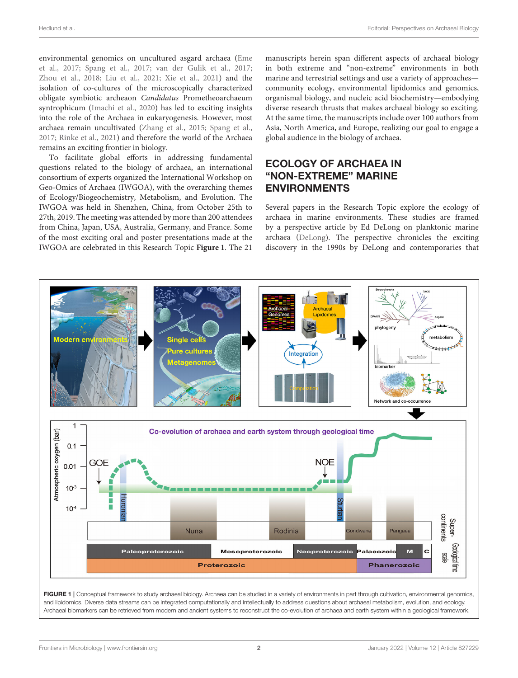environmental genomics on uncultured asgard archaea (Eme et al., [2017;](#page-5-20) [Spang et al., 2017;](#page-5-18) [van der Gulik et al., 2017;](#page-6-8) [Zhou et al., 2018;](#page-6-9) [Liu et al., 2021;](#page-5-21) [Xie et al., 2021\)](#page-6-10) and the isolation of co-cultures of the microscopically characterized obligate symbiotic archeaon Candidatus Prometheoarchaeum syntrophicum [\(Imachi et al., 2020\)](#page-5-22) has led to exciting insights into the role of the Archaea in eukaryogenesis. However, most archaea remain uncultivated [\(Zhang et al., 2015;](#page-6-11) [Spang et al.,](#page-5-18) [2017;](#page-5-18) [Rinke et al., 2021\)](#page-5-23) and therefore the world of the Archaea remains an exciting frontier in biology.

To facilitate global efforts in addressing fundamental questions related to the biology of archaea, an international consortium of experts organized the International Workshop on Geo-Omics of Archaea (IWGOA), with the overarching themes of Ecology/Biogeochemistry, Metabolism, and Evolution. The IWGOA was held in Shenzhen, China, from October 25th to 27th, 2019. The meeting was attended by more than 200 attendees from China, Japan, USA, Australia, Germany, and France. Some of the most exciting oral and poster presentations made at the IWGOA are celebrated in this Research Topic **[Figure 1](#page-1-0)**. The 21 manuscripts herein span different aspects of archaeal biology in both extreme and "non-extreme" environments in both marine and terrestrial settings and use a variety of approaches community ecology, environmental lipidomics and genomics, organismal biology, and nucleic acid biochemistry—embodying diverse research thrusts that makes archaeal biology so exciting. At the same time, the manuscripts include over 100 authors from Asia, North America, and Europe, realizing our goal to engage a global audience in the biology of archaea.

# ECOLOGY OF ARCHAEA IN "NON-EXTREME" MARINE ENVIRONMENTS

Several papers in the Research Topic explore the ecology of archaea in marine environments. These studies are framed by a perspective article by Ed DeLong on planktonic marine archaea [\(DeLong\)](https://doi.org/10.3389/fmicb.2020.616086). The perspective chronicles the exciting discovery in the 1990s by DeLong and contemporaries that



<span id="page-1-0"></span>Archaeal biomarkers can be retrieved from modern and ancient systems to reconstruct the co-evolution of archaea and earth system within a geological framework.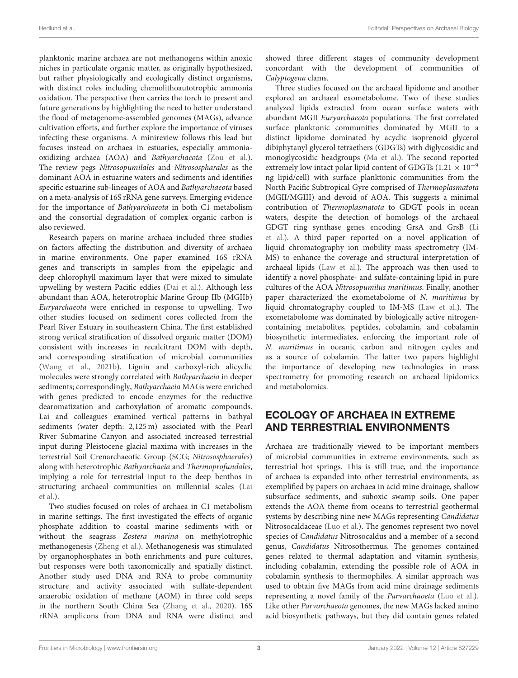planktonic marine archaea are not methanogens within anoxic niches in particulate organic matter, as originally hypothesized, but rather physiologically and ecologically distinct organisms, with distinct roles including chemolithoautotrophic ammonia oxidation. The perspective then carries the torch to present and future generations by highlighting the need to better understand the flood of metagenome-assembled genomes (MAGs), advance cultivation efforts, and further explore the importance of viruses infecting these organisms. A minireview follows this lead but focuses instead on archaea in estuaries, especially ammoniaoxidizing archaea (AOA) and Bathyarchaeota [\(Zou et al.\)](https://doi.org/10.3389/fmicb.2020.02060). The review pegs Nitrosopumilales and Nitrosospharales as the dominant AOA in estuarine waters and sediments and identifies specific estuarine sub-lineages of AOA and Bathyarchaeota based on a meta-analysis of 16S rRNA gene surveys. Emerging evidence for the importance of Bathyarchaeota in both C1 metabolism and the consortial degradation of complex organic carbon is also reviewed.

Research papers on marine archaea included three studies on factors affecting the distribution and diversity of archaea in marine environments. One paper examined 16S rRNA genes and transcripts in samples from the epipelagic and deep chlorophyll maximum layer that were mixed to simulate upwelling by western Pacific eddies [\(Dai et al.\)](https://doi.org/10.3389/fmicb.2020.571199). Although less abundant than AOA, heterotrophic Marine Group IIb (MGIIb) Euryarchaeota were enriched in response to upwelling. Two other studies focused on sediment cores collected from the Pearl River Estuary in southeastern China. The first established strong vertical stratification of dissolved organic matter (DOM) consistent with increases in recalcitrant DOM with depth, and corresponding stratification of microbial communities [\(Wang et al., 2021b\)](#page-6-12). Lignin and carboxyl-rich alicyclic molecules were strongly correlated with Bathyarchaeia in deeper sediments; correspondingly, Bathyarchaeia MAGs were enriched with genes predicted to encode enzymes for the reductive dearomatization and carboxylation of aromatic compounds. Lai and colleagues examined vertical patterns in bathyal sediments (water depth: 2,125 m) associated with the Pearl River Submarine Canyon and associated increased terrestrial input during Pleistocene glacial maxima with increases in the terrestrial Soil Crenarchaeotic Group (SCG; Nitrososphaerales) along with heterotrophic Bathyarchaeia and Thermoprofundales, implying a role for terrestrial input to the deep benthos in [structuring archaeal communities on millennial scales \(Lai](https://doi.org/10.3389/fmicb.2020.572017) et al.).

Two studies focused on roles of archaea in C1 metabolism in marine settings. The first investigated the effects of organic phosphate addition to coastal marine sediments with or without the seagrass Zostera marina on methylotrophic methanogenesis [\(Zheng et al.\)](https://doi.org/10.3389/fmicb.2020.01770). Methanogenesis was stimulated by organophosphates in both enrichments and pure cultures, but responses were both taxonomically and spatially distinct. Another study used DNA and RNA to probe community structure and activity associated with sulfate-dependent anaerobic oxidation of methane (AOM) in three cold seeps in the northern South China Sea [\(Zhang et al., 2020\)](#page-6-7). 16S rRNA amplicons from DNA and RNA were distinct and showed three different stages of community development concordant with the development of communities of Calyptogena clams.

Three studies focused on the archaeal lipidome and another explored an archaeal exometabolome. Two of these studies analyzed lipids extracted from ocean surface waters with abundant MGII Euryarchaeota populations. The first correlated surface planktonic communities dominated by MGII to a distinct lipidome dominated by acyclic isoprenoid glycerol dibiphytanyl glycerol tetraethers (GDGTs) with diglycosidic and monoglycosidic headgroups [\(Ma et al.\)](https://doi.org/10.3389/fmicb.2020.01034). The second reported extremely low intact polar lipid content of GDGTs (1.21  $\times$  10<sup>-9</sup> ng lipid/cell) with surface planktonic communities from the North Pacific Subtropical Gyre comprised of Thermoplasmatota (MGII/MGIII) and devoid of AOA. This suggests a minimal contribution of Thermoplasmatota to GDGT pools in ocean waters, despite the detection of homologs of the archaeal [GDGT ring synthase genes encoding GrsA and GrsB \(Li](https://doi.org/10.3389/fmicb.2021.610675) et al.). A third paper reported on a novel application of liquid chromatography ion mobility mass spectrometry (IM-MS) to enhance the coverage and structural interpretation of archaeal lipids [\(Law et al.\)](https://doi.org/10.3389/fmicb.2021.735878). The approach was then used to identify a novel phosphate- and sulfate-containing lipid in pure cultures of the AOA Nitrosopumilus maritimus. Finally, another paper characterized the exometabolome of N. maritimus by liquid chromatography coupled to IM-MS [\(Law et al.\)](https://doi.org/10.3389/fmicb.2021.658781). The exometabolome was dominated by biologically active nitrogencontaining metabolites, peptides, cobalamin, and cobalamin biosynthetic intermediates, enforcing the important role of N. maritimus in oceanic carbon and nitrogen cycles and as a source of cobalamin. The latter two papers highlight the importance of developing new technologies in mass spectrometry for promoting research on archaeal lipidomics and metabolomics.

## ECOLOGY OF ARCHAEA IN EXTREME AND TERRESTRIAL ENVIRONMENTS

Archaea are traditionally viewed to be important members of microbial communities in extreme environments, such as terrestrial hot springs. This is still true, and the importance of archaea is expanded into other terrestrial environments, as exemplified by papers on archaea in acid mine drainage, shallow subsurface sediments, and suboxic swamp soils. One paper extends the AOA theme from oceans to terrestrial geothermal systems by describing nine new MAGs representing Candidatus Nitrosocaldaceae [\(Luo et al.\)](https://doi.org/10.3389/fmicb.2020.608832). The genomes represent two novel species of Candidatus Nitrosocaldus and a member of a second genus, Candidatus Nitrosothermus. The genomes contained genes related to thermal adaptation and vitamin synthesis, including cobalamin, extending the possible role of AOA in cobalamin synthesis to thermophiles. A similar approach was used to obtain five MAGs from acid mine drainage sediments representing a novel family of the Parvarchaoeta [\(Luo et al.\)](https://doi.org/10.3389/fmicb.2020.612257). Like other Parvarchaeota genomes, the new MAGs lacked amino acid biosynthetic pathways, but they did contain genes related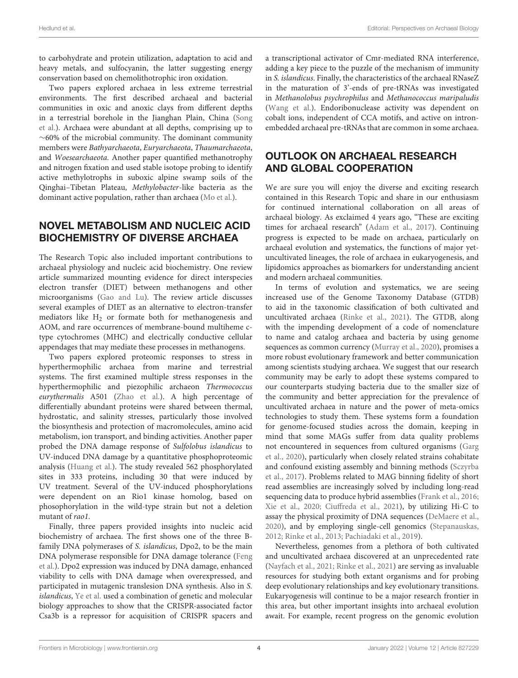to carbohydrate and protein utilization, adaptation to acid and heavy metals, and sulfocyanin, the latter suggesting energy conservation based on chemolithotrophic iron oxidation.

Two papers explored archaea in less extreme terrestrial environments. The first described archaeal and bacterial communities in oxic and anoxic clays from different depths [in a terrestrial borehole in the Jianghan Plain, China \(Song](https://doi.org/10.3389/fmicb.2020.572560) et al.). Archaea were abundant at all depths, comprising up to ∼60% of the microbial community. The dominant community members were Bathyarchaeota, Euryarchaeota, Thaumarchaeota, and Woesearchaeota. Another paper quantified methanotrophy and nitrogen fixation and used stable isotope probing to identify active methylotrophs in suboxic alpine swamp soils of the Qinghai–Tibetan Plateau, Methylobacter-like bacteria as the dominant active population, rather than archaea [\(Mo et al.\)](https://doi.org/10.3389/fmicb.2020.580866).

## NOVEL METABOLISM AND NUCLEIC ACID BIOCHEMISTRY OF DIVERSE ARCHAEA

The Research Topic also included important contributions to archaeal physiology and nucleic acid biochemistry. One review article summarized mounting evidence for direct interspecies electron transfer (DIET) between methanogens and other microorganisms [\(Gao and Lu\)](https://doi.org/10.3389/fmicb.2021.611739). The review article discusses several examples of DIET as an alternative to electron-transfer mediators like  $H_2$  or formate both for methanogenesis and AOM, and rare occurrences of membrane-bound multiheme ctype cytochromes (MHC) and electrically conductive cellular appendages that may mediate these processes in methanogens.

Two papers explored proteomic responses to stress in hyperthermophilic archaea from marine and terrestrial systems. The first examined multiple stress responses in the hyperthermophilic and piezophilic archaeon Thermococcus eurythermalis A501 [\(Zhao et al.\)](https://doi.org/10.3389/fmicb.2020.02081). A high percentage of differentially abundant proteins were shared between thermal, hydrostatic, and salinity stresses, particularly those involved the biosynthesis and protection of macromolecules, amino acid metabolism, ion transport, and binding activities. Another paper probed the DNA damage response of Sulfolobus islandicus to UV-induced DNA damage by a quantitative phosphoproteomic analysis [\(Huang et al.\)](https://doi.org/10.3389/fmicb.2020.586025). The study revealed 562 phosphorylated sites in 333 proteins, including 30 that were induced by UV treatment. Several of the UV-induced phosphorylations were dependent on an Rio1 kinase homolog, based on phosophorylation in the wild-type strain but not a deletion mutant of rao1.

Finally, three papers provided insights into nucleic acid biochemistry of archaea. The first shows one of the three Bfamily DNA polymerases of S. islandicus, Dpo2, to be the main DNA polymerase responsible for DNA damage tolerance (Feng [et al.\). Dpo2 expression was induced by DNA damage, enhanced](https://doi.org/10.3389/fmicb.2020.01585) viability to cells with DNA damage when overexpressed, and participated in mutagenic translesion DNA synthesis. Also in S. islandicus, [Ye et al.](https://doi.org/10.3389/fmicb.2020.02038) used a combination of genetic and molecular biology approaches to show that the CRISPR-associated factor Csa3b is a repressor for acquisition of CRISPR spacers and a transcriptional activator of Cmr-mediated RNA interference, adding a key piece to the puzzle of the mechanism of immunity in S. islandicus. Finally, the characteristics of the archaeal RNaseZ in the maturation of 3'-ends of pre-tRNAs was investigated in Methanolobus psychrophilus and Methanococcus maripaludis [\(Wang et al.\)](https://doi.org/10.3389/fmicb.2020.01851). Endoribonuclease activity was dependent on cobalt ions, independent of CCA motifs, and active on intronembedded archaeal pre-tRNAs that are common in some archaea.

# OUTLOOK ON ARCHAEAL RESEARCH AND GLOBAL COOPERATION

We are sure you will enjoy the diverse and exciting research contained in this Research Topic and share in our enthusiasm for continued international collaboration on all areas of archaeal biology. As exclaimed 4 years ago, "These are exciting times for archaeal research" [\(Adam et al., 2017\)](#page-4-3). Continuing progress is expected to be made on archaea, particularly on archaeal evolution and systematics, the functions of major yetuncultivated lineages, the role of archaea in eukaryogenesis, and lipidomics approaches as biomarkers for understanding ancient and modern archaeal communities.

In terms of evolution and systematics, we are seeing increased use of the Genome Taxonomy Database (GTDB) to aid in the taxonomic classification of both cultivated and uncultivated archaea [\(Rinke et al., 2021\)](#page-5-23). The GTDB, along with the impending development of a code of nomenclature to name and catalog archaea and bacteria by using genome sequences as common currency [\(Murray et al., 2020\)](#page-5-24), promises a more robust evolutionary framework and better communication among scientists studying archaea. We suggest that our research community may be early to adopt these systems compared to our counterparts studying bacteria due to the smaller size of the community and better appreciation for the prevalence of uncultivated archaea in nature and the power of meta-omics technologies to study them. These systems form a foundation for genome-focused studies across the domain, keeping in mind that some MAGs suffer from data quality problems not encountered in sequences from cultured organisms (Garg et al., [2020\)](#page-5-25), particularly when closely related strains cohabitate and confound existing assembly and binning methods (Sczyrba et al., [2017\)](#page-5-26). Problems related to MAG binning fidelity of short read assemblies are increasingly solved by including long-read sequencing data to produce hybrid assemblies [\(Frank et al., 2016;](#page-5-27) [Xie et al., 2020;](#page-6-13) [Ciuffreda et al., 2021\)](#page-5-28), by utilizing Hi-C to assay the physical proximity of DNA sequences [\(DeMaere et al.,](#page-5-29) [2020\)](#page-5-29), and by employing single-cell genomics [\(Stepanauskas,](#page-5-30) [2012;](#page-5-30) [Rinke et al., 2013;](#page-5-31) [Pachiadaki et al., 2019\)](#page-5-32).

Nevertheless, genomes from a plethora of both cultivated and uncultivated archaea discovered at an unprecedented rate [\(Nayfach et al., 2021;](#page-5-33) [Rinke et al., 2021\)](#page-5-23) are serving as invaluable resources for studying both extant organisms and for probing deep evolutionary relationships and key evolutionary transitions. Eukaryogenesis will continue to be a major research frontier in this area, but other important insights into archaeal evolution await. For example, recent progress on the genomic evolution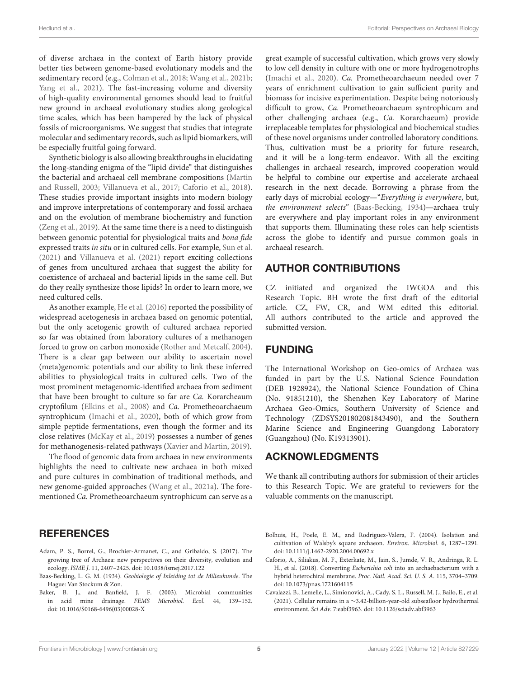of diverse archaea in the context of Earth history provide better ties between genome-based evolutionary models and the sedimentary record (e.g., [Colman et al., 2018;](#page-5-11) [Wang et al., 2021b;](#page-6-12) [Yang et al., 2021\)](#page-6-14). The fast-increasing volume and diversity of high-quality environmental genomes should lead to fruitful new ground in archaeal evolutionary studies along geological time scales, which has been hampered by the lack of physical fossils of microorganisms. We suggest that studies that integrate molecular and sedimentary records, such as lipid biomarkers, will be especially fruitful going forward.

Synthetic biology is also allowing breakthroughs in elucidating the long-standing enigma of the "lipid divide" that distinguishes the bacterial and archaeal cell membrane compositions (Martin and Russell, [2003;](#page-5-34) [Villanueva et al., 2017;](#page-6-15) [Caforio et al., 2018\)](#page-4-4). These studies provide important insights into modern biology and improve interpretations of contemporary and fossil archaea and on the evolution of membrane biochemistry and function [\(Zeng et al., 2019\)](#page-6-16). At the same time there is a need to distinguish between genomic potential for physiological traits and bona fide expressed traits in situ or in cultured cells. For example, [Sun et al.](#page-5-35) [\(2021\)](#page-5-35) and [Villanueva et al. \(2021\)](#page-6-17) report exciting collections of genes from uncultured archaea that suggest the ability for coexistence of archaeal and bacterial lipids in the same cell. But do they really synthesize those lipids? In order to learn more, we need cultured cells.

As another example, [He et al. \(2016\)](#page-5-9) reported the possibility of widespread acetogenesis in archaea based on genomic potential, but the only acetogenic growth of cultured archaea reported so far was obtained from laboratory cultures of a methanogen forced to grow on carbon monoxide [\(Rother and Metcalf, 2004\)](#page-5-36). There is a clear gap between our ability to ascertain novel (meta)genomic potentials and our ability to link these inferred abilities to physiological traits in cultured cells. Two of the most prominent metagenomic-identified archaea from sediment that have been brought to culture so far are Ca. Korarcheaum cryptofilum [\(Elkins et al., 2008\)](#page-5-37) and Ca. Prometheoarchaeum syntrophicum [\(Imachi et al., 2020\)](#page-5-22), both of which grow from simple peptide fermentations, even though the former and its close relatives [\(McKay et al., 2019\)](#page-5-38) possesses a number of genes for methanogenesis-related pathways [\(Xavier and Martin, 2019\)](#page-6-18).

The flood of genomic data from archaea in new environments highlights the need to cultivate new archaea in both mixed and pure cultures in combination of traditional methods, and new genome-guided approaches [\(Wang et al., 2021a\)](#page-6-5). The forementioned Ca. Prometheoarchaeum syntrophicum can serve as a

#### **REFERENCES**

- <span id="page-4-3"></span>Adam, P. S., Borrel, G., Brochier-Armanet, C., and Gribaldo, S. (2017). The growing tree of Archaea: new perspectives on their diversity, evolution and ecology. ISME J. 11, 2407–2425. doi: [10.1038/ismej.2017.122](https://doi.org/10.1038/ismej.2017.122)
- <span id="page-4-5"></span>Baas-Becking, L. G. M. (1934). Geobiologie of Inleiding tot de Milieukunde. The Hague: Van Stockum & Zon.
- <span id="page-4-1"></span>Baker, B. J., and Banfield, J. F. (2003). Microbial communities in acid mine drainage. FEMS Microbiol. Ecol. 44, 139–152. doi: [10.1016/S0168-6496\(03\)00028-X](https://doi.org/10.1016/S0168-6496(03)00028-X)

great example of successful cultivation, which grows very slowly to low cell density in culture with one or more hydrogenotrophs [\(Imachi et al., 2020\)](#page-5-22). Ca. Prometheoarchaeum needed over 7 years of enrichment cultivation to gain sufficient purity and biomass for incisive experimentation. Despite being notoriously difficult to grow, Ca. Prometheoarchaeum syntrophicum and other challenging archaea (e.g., Ca. Korarchaeum) provide irreplaceable templates for physiological and biochemical studies of these novel organisms under controlled laboratory conditions. Thus, cultivation must be a priority for future research, and it will be a long-term endeavor. With all the exciting challenges in archaeal research, improved cooperation would be helpful to combine our expertise and accelerate archaeal research in the next decade. Borrowing a phrase from the early days of microbial ecology—"Everything is everywhere, but, the environment selects" [\(Baas-Becking, 1934\)](#page-4-5)—archaea truly are everywhere and play important roles in any environment that supports them. Illuminating these roles can help scientists across the globe to identify and pursue common goals in archaeal research.

#### AUTHOR CONTRIBUTIONS

CZ initiated and organized the IWGOA and this Research Topic. BH wrote the first draft of the editorial article. CZ, FW, CR, and WM edited this editorial. All authors contributed to the article and approved the submitted version.

#### FUNDING

The International Workshop on Geo-omics of Archaea was funded in part by the U.S. National Science Foundation (DEB 1928924), the National Science Foundation of China (No. 91851210), the Shenzhen Key Laboratory of Marine Archaea Geo-Omics, Southern University of Science and Technology (ZDSYS201802081843490), and the Southern Marine Science and Engineering Guangdong Laboratory (Guangzhou) (No. K19313901).

### ACKNOWLEDGMENTS

We thank all contributing authors for submission of their articles to this Research Topic. We are grateful to reviewers for the valuable comments on the manuscript.

- <span id="page-4-0"></span>Bolhuis, H., Poele, E. M., and Rodriguez-Valera, F. (2004). Isolation and cultivation of Walsby's square archaeon. Environ. Microbiol. 6, 1287–1291. doi: [10.1111/j.1462-2920.2004.00692.x](https://doi.org/10.1111/j.1462-2920.2004.00692.x)
- <span id="page-4-4"></span>Caforio, A., Siliakus, M. F., Exterkate, M., Jain, S., Jumde, V. R., Andringa, R. L. H., et al. (2018). Converting Escherichia coli into an archaebacterium with a hybrid heterochiral membrane. Proc. Natl. Acad. Sci. U. S. A. 115, 3704–3709. doi: [10.1073/pnas.1721604115](https://doi.org/10.1073/pnas.1721604115)
- <span id="page-4-2"></span>Cavalazzi, B., Lemelle, L., Simionovici, A., Cady, S. L., Russell, M. J., Bailo, E., et al. (2021). Cellular remains in a ∼3.42-billion-year-old subseafloor hydrothermal environment. Sci Adv. 7:eabf3963. doi: [10.1126/sciadv.abf3963](https://doi.org/10.1126/sciadv.abf3963)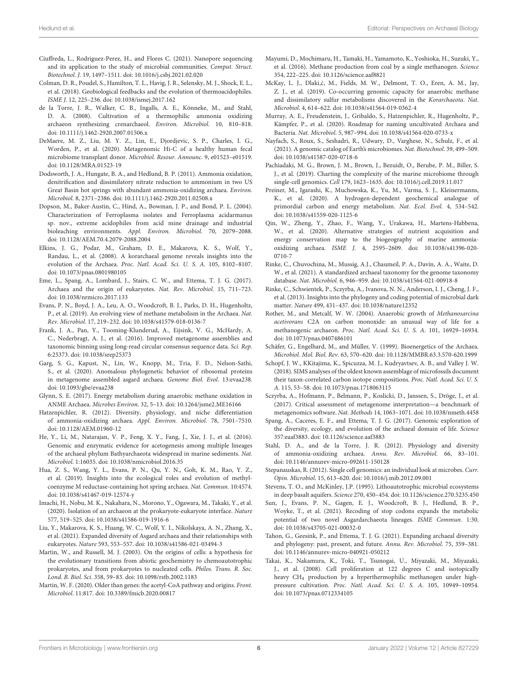- <span id="page-5-28"></span>Ciuffreda, L., Rodriguez-Perez, H., and Flores C. (2021). Nanopore sequencing and its application to the study of microbial communities. Comput. Struct. Biotechnol. J. 19, 1497–1511. doi: [10.1016/j.csbj.2021.02.020](https://doi.org/10.1016/j.csbj.2021.02.020)
- <span id="page-5-11"></span>Colman, D. R., Poudel, S., Hamilton, T. L., Havig, J. R., Selensky, M. J., Shock, E. L., et al. (2018). Geobiological feedbacks and the evolution of thermoacidophiles. ISME J. 12, 225–236. doi: [10.1038/ismej.2017.162](https://doi.org/10.1038/ismej.2017.162)
- <span id="page-5-7"></span>de la Torre, J. R., Walker, C. B., Ingalls, A. E., Könneke, M., and Stahl, D. A. (2008). Cultivation of a thermophilic ammonia oxidizing archaeon synthesizing crenarchaeol. Environ. Microbiol. 10, 810–818. doi: [10.1111/j.1462-2920.2007.01506.x](https://doi.org/10.1111/j.1462-2920.2007.01506.x)
- <span id="page-5-29"></span>DeMaere, M. Z., Liu, M. Y. Z., Lin, E., Djordjevic, S. P., Charles, I. G., Worden, P., et al. (2020). Metagenomic Hi-C of a healthy human fecal microbiome transplant donor. Microbiol. Resour. Announc. 9, e01523–e01519. doi: [10.1128/MRA.01523-19](https://doi.org/10.1128/MRA.01523-19)
- <span id="page-5-8"></span>Dodsworth, J. A., Hungate, B. A., and Hedlund, B. P. (2011). Ammonia oxidation, denitrification and dissimilatory nitrate reduction to ammonium in two US Great Basin hot springs with abundant ammonia-oxidizing archaea. Environ. Microbiol. 8, 2371–2386. doi: [10.1111/j.1462-2920.2011.02508.x](https://doi.org/10.1111/j.1462-2920.2011.02508.x)
- <span id="page-5-0"></span>Dopson, M., Baker-Austin, C., Hind, A., Bowman, J. P., and Bond, P. L. (2004). Characterization of Ferroplasma isolates and Ferroplasma acidarmanus sp. nov., extreme acidophiles from acid mine drainage and industrial bioleaching environments. Appl. Environ. Microbiol. 70, 2079–2088. doi: [10.1128/AEM.70.4.2079-2088.2004](https://doi.org/10.1128/AEM.70.4.2079-2088.2004)
- <span id="page-5-37"></span>Elkins, J. G., Podar, M., Graham, D. E., Makarova, K. S., Wolf, Y., Randau, L., et al. (2008). A korarchaeal genome reveals insights into the evolution of the Archaea. Proc. Natl. Acad. Sci. U. S. A. 105, 8102–8107. doi: [10.1073/pnas.0801980105](https://doi.org/10.1073/pnas.0801980105)
- <span id="page-5-20"></span>Eme, L., Spang, A., Lombard, J., Stairs, C. W., and Ettema, T. J. G. (2017). Archaea and the origin of eukaryotes. Nat. Rev. Microbiol. 15, 711–723. doi: [10.1038/nrmicro.2017.133](https://doi.org/10.1038/nrmicro.2017.133)
- <span id="page-5-5"></span>Evans, P. N., Boyd, J. A., Leu, A. O., Woodcroft, B. J., Parks, D. H., Hugenholtz, P., et al. (2019). An evolving view of methane metabolism in the Archaea. Nat. Rev. Microbiol. 17, 219–232. doi: [10.1038/s41579-018-0136-7](https://doi.org/10.1038/s41579-018-0136-7)
- <span id="page-5-27"></span>Frank, J. A., Pan, Y., Tooming-Klunderud, A., Eijsink, V. G., McHardy, A. C., Nederbragt, A. J., et al. (2016). Improved metagenome assemblies and taxonomic binning using long-read circular consensus sequence data. Sci. Rep. 6:25373. doi: [10.1038/srep25373](https://doi.org/10.1038/srep25373)
- <span id="page-5-25"></span>Garg, S. G., Kapust, N., Lin, W., Knopp, M., Tria, F. D., Nelson-Sathi, S., et al. (2020). Anomalous phylogenetic behavior of ribosomal proteins in metagenome assembled asgard archaea. Genome Biol. Evol. 13:evaa238. doi: [10.1093/gbe/evaa238](https://doi.org/10.1093/gbe/evaa238)
- <span id="page-5-2"></span>Glynn, S. E. (2017). Energy metabolism during anaerobic methane oxidation in ANME Archaea. Microbes Environ. 32, 5–13. doi: [10.1264/jsme2.ME16166](https://doi.org/10.1264/jsme2.ME16166)
- <span id="page-5-17"></span>Hatzenpichler, R. (2012). Diversity, physiology, and niche differentiation of ammonia-oxidizing archaea. Appl. Environ. Microbiol. 78, 7501–7510. doi: [10.1128/AEM.01960-12](https://doi.org/10.1128/AEM.01960-12)
- <span id="page-5-9"></span>He, Y., Li, M., Natarajan, V. P., Feng, X. Y., Fang, J., Xie, J. J., et al. (2016). Genomic and enzymatic evidence for acetogenesis among multiple lineages of the archaeal phylum Bathyarchaeota widespread in marine sediments. Nat. Microbiol. 1:16035. doi: [10.1038/nmicrobiol.2016.35](https://doi.org/10.1038/nmicrobiol.2016.35)
- <span id="page-5-12"></span>Hua, Z. S., Wang, Y. L., Evans, P. N., Qu, Y. N., Goh, K. M., Rao, Y. Z., et al. (2019). Insights into the ecological roles and evolution of methylcoenzyme M reductase-containing hot spring archaea. Nat. Commun. 10:4574. doi: [10.1038/s41467-019-12574-y](https://doi.org/10.1038/s41467-019-12574-y)
- <span id="page-5-22"></span>Imachi, H., Nobu, M. K., Nakahara, N., Morono, Y., Ogawara, M., Takaki, Y., et al. (2020). Isolation of an archaeon at the prokaryote-eukaryote interface. Nature 577, 519–525. doi: [10.1038/s41586-019-1916-6](https://doi.org/10.1038/s41586-019-1916-6)
- <span id="page-5-21"></span>Liu, Y., Makarova, K. S., Huang, W. C., Wolf, Y. I., Nikolskaya, A. N., Zhang, X., et al. (2021). Expanded diversity of Asgard archaea and their relationships with eukaryotes. Nature 593, 553–557. doi: [10.1038/s41586-021-03494-3](https://doi.org/10.1038/s41586-021-03494-3)
- <span id="page-5-34"></span>Martin, W., and Russell, M. J. (2003). On the origins of cells: a hypothesis for the evolutionary transitions from abiotic geochemistry to chemoautotrophic prokaryotes, and from prokaryotes to nucleated cells. Philos. Trans. R. Soc. Lond. B. Biol. Sci. 358, 59–83. doi: [10.1098/rstb.2002.1183](https://doi.org/10.1098/rstb.2002.1183)
- <span id="page-5-14"></span>Martin, W. F. (2020). Older than genes: the acetyl-CoA pathway and origins. Front. Microbiol. 11:817. doi: [10.3389/fmicb.2020.00817](https://doi.org/10.3389/fmicb.2020.00817)
- <span id="page-5-10"></span>Mayumi, D., Mochimaru, H., Tamaki, H., Yamamoto, K., Yoshioka, H., Suzuki, Y., et al. (2016). Methane production from coal by a single methanogen. Science 354, 222–225. doi: [10.1126/science.aaf8821](https://doi.org/10.1126/science.aaf8821)
- <span id="page-5-38"></span>McKay, L. J., Dlaki,ć, M., Fields, M. W., Delmont, T. O., Eren, A. M., Jay, Z. J., et al. (2019). Co-occurring genomic capacity for anaerobic methane and dissimilatory sulfur metabolisms discovered in the Korarchaeota. Nat. Microbiol. 4, 614–622. doi: [10.1038/s41564-019-0362-4](https://doi.org/10.1038/s41564-019-0362-4)
- <span id="page-5-24"></span>Murray, A. E., Freudenstein, J., Gribaldo, S., Hatzenpichler, R., Hugenholtz, P., Kämpfer, P., et al. (2020). Roadmap for naming uncultivated Archaea and Bacteria. Nat. Microbiol. 5, 987–994. doi: [10.1038/s41564-020-0733-x](https://doi.org/10.1038/s41564-020-0733-x)
- <span id="page-5-33"></span>Nayfach, S., Roux, S., Seshadri, R., Udwary, D., Varghese, N., Schulz, F., et al. (2021). A genomic catalog of Earth's microbiomes. Nat. Biotechnol. 39, 499–509. doi: [10.1038/s41587-020-0718-6](https://doi.org/10.1038/s41587-020-0718-6)
- <span id="page-5-32"></span>Pachiadaki, M. G., Brown, J. M., Brown, J., Bezuidt, O., Berube, P. M., Biller, S. J., et al. (2019). Charting the complexity of the marine microbiome through single-cell genomics. Cell 179, 1623–1635. doi: [10.1016/j.cell.2019.11.017](https://doi.org/10.1016/j.cell.2019.11.017)
- <span id="page-5-15"></span>Preiner, M., Igarashi, K., Muchowska, K., Yu, M., Varma, S. J., Kleinermanns, K., et al. (2020). A hydrogen-dependent geochemical analogue of primordial carbon and energy metabolism. Nat. Ecol. Evol. 4, 534–542. doi: [10.1038/s41559-020-1125-6](https://doi.org/10.1038/s41559-020-1125-6)
- <span id="page-5-19"></span>Qin, W., Zheng, Y., Zhao, F., Wang, Y., Urakawa, H., Martens-Habbena, W., et al. (2020). Alternative strategies of nutrient acquisition and energy conservation map to the biogeography of marine ammoniaoxidizing archaea. ISME J[. 4, 2595–2609. doi: 10.1038/s41396-020-](https://doi.org/10.1038/s41396-020-0710-7) 0710-7
- <span id="page-5-23"></span>Rinke, C., Chuvochina, M., Mussig, A.J., Chaumeil, P. A., Davín, A. A., Waite, D. W., et al. (2021). A standardized archaeal taxonomy for the genome taxonomy database. Nat. Microbiol. 6, 946–959. doi: [10.1038/s41564-021-00918-8](https://doi.org/10.1038/s41564-021-00918-8)
- <span id="page-5-31"></span>Rinke, C., Schwientek, P., Sczyrba, A., Ivanova, N. N., Anderson, I. J., Cheng, J. F., et al. (2013). Insights into the phylogeny and coding potential of microbial dark matter. Nature 499, 431–437. doi: [10.1038/nature12352](https://doi.org/10.1038/nature12352)
- <span id="page-5-36"></span>Rother, M., and Metcalf, W. W. (2004). Anaerobic growth of Methanosarcina acetivorans C2A on carbon monoxide: an unusual way of life for a methanogenic archaeon. Proc. Natl. Acad. Sci. U. S. A. 101, 16929–16934. doi: [10.1073/pnas.0407486101](https://doi.org/10.1073/pnas.0407486101)
- <span id="page-5-3"></span>Schäfer, G., Engelhard, M., and Müller, V. (1999). Bioenergetics of the Archaea. Microbiol. Mol. Biol. Rev. 63, 570–620. doi: [10.1128/MMBR.63.3.570-620.1999](https://doi.org/10.1128/MMBR.63.3.570-620.1999)
- <span id="page-5-16"></span>Schopf, J. W., KKitajima, K., Spicuzza, M. J., Kudryavtsev, A. B., and Valley J. W. (2018). SIMS analyses of the oldest known assemblage of microfossils document their taxon-correlated carbon isotope compositions. Proc. Natl. Acad. Sci. U. S. A. 115, 53–58. doi: [10.1073/pnas.1718063115](https://doi.org/10.1073/pnas.1718063115)
- <span id="page-5-26"></span>Sczyrba, A., Hofmann, P., Belmann, P., Koslicki, D., Janssen, S., Dröge, J., et al. (2017). Critical assessment of metagenome interpretation—a benchmark of metagenomics software. Nat. Methods 14, 1063–1071. doi: [10.1038/nmeth.4458](https://doi.org/10.1038/nmeth.4458)
- <span id="page-5-18"></span>Spang, A., Caceres, E. F., and Ettema, T. J. G. (2017). Genomic exploration of the diversity, ecology, and evolution of the archaeal domain of life. Science 357:eaaf3883. doi: [10.1126/science.aaf3883](https://doi.org/10.1126/science.aaf3883)
- <span id="page-5-4"></span>Stahl, D. A., and de la Torre, J. R. (2012). Physiology and diversity of ammonia-oxidizing archaea. Annu. Rev. Microbiol. 66, 83–101. doi: [10.1146/annurev-micro-092611-150128](https://doi.org/10.1146/annurev-micro-092611-150128)
- <span id="page-5-30"></span>Stepanauskas, R. (2012). Single cell genomics: an individual look at microbes. Curr. Opin. Microbiol. 15, 613–620. doi: [10.1016/j.mib.2012.09.001](https://doi.org/10.1016/j.mib.2012.09.001)
- <span id="page-5-13"></span>Stevens, T. O., and McKinley, J.P. (1995). Lithoautotrophic microbial ecosystems in deep basalt aquifers. Science 270, 450–454. doi: [10.1126/science.270.5235.450](https://doi.org/10.1126/science.270.5235.450)
- <span id="page-5-35"></span>Sun, J., Evans, P. N., Gagen, E. J., Woodcroft, B. J., Hedlund, B. P., Woyke, T., et al. (2021). Recoding of stop codons expands the metabolic potential of two novel Asgardarchaeota lineages. ISME Commun. 1:30. doi: [10.1038/s43705-021-00032-0](https://doi.org/10.1038/s43705-021-00032-0)
- <span id="page-5-6"></span>Tahon, G., Geesink, P., and Ettema, T. J. G. (2021). Expanding archaeal diversity and phylogeny: past, present, and future. Annu. Rev. Microbiol. 75, 359–381. doi: [10.1146/annurev-micro-040921-050212](https://doi.org/10.1146/annurev-micro-040921-050212)
- <span id="page-5-1"></span>Takai, K., Nakamura, K., Toki, T., Tsunogai, U., Miyazaki, M., Miyazaki, J., et al. (2008). Cell proliferation at 122 degrees C and isotopically heavy CH<sup>4</sup> production by a hyperthermophilic methanogen under highpressure cultivation. Proc. Natl. Acad. Sci. U. S. A. 105, 10949–10954. doi: [10.1073/pnas.0712334105](https://doi.org/10.1073/pnas.0712334105)